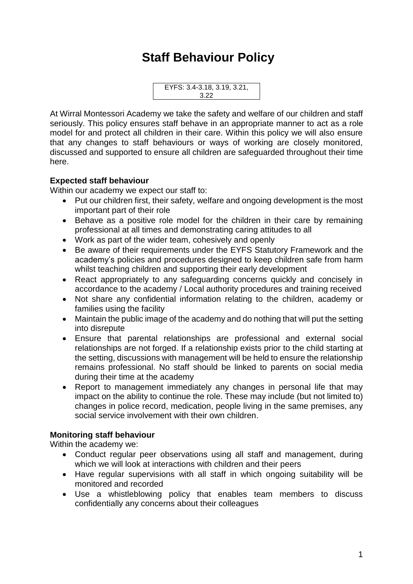## **Staff Behaviour Policy**

EYFS: 3.4-3.18, 3.19, 3.21, 3.22

At Wirral Montessori Academy we take the safety and welfare of our children and staff seriously. This policy ensures staff behave in an appropriate manner to act as a role model for and protect all children in their care. Within this policy we will also ensure that any changes to staff behaviours or ways of working are closely monitored, discussed and supported to ensure all children are safeguarded throughout their time here.

## **Expected staff behaviour**

Within our academy we expect our staff to:

- Put our children first, their safety, welfare and ongoing development is the most important part of their role
- Behave as a positive role model for the children in their care by remaining professional at all times and demonstrating caring attitudes to all
- Work as part of the wider team, cohesively and openly
- Be aware of their requirements under the EYFS Statutory Framework and the academy's policies and procedures designed to keep children safe from harm whilst teaching children and supporting their early development
- React appropriately to any safeguarding concerns quickly and concisely in accordance to the academy / Local authority procedures and training received
- Not share any confidential information relating to the children, academy or families using the facility
- Maintain the public image of the academy and do nothing that will put the setting into disrepute
- Ensure that parental relationships are professional and external social relationships are not forged. If a relationship exists prior to the child starting at the setting, discussions with management will be held to ensure the relationship remains professional. No staff should be linked to parents on social media during their time at the academy
- Report to management immediately any changes in personal life that may impact on the ability to continue the role. These may include (but not limited to) changes in police record, medication, people living in the same premises, any social service involvement with their own children.

## **Monitoring staff behaviour**

Within the academy we:

- Conduct regular peer observations using all staff and management, during which we will look at interactions with children and their peers
- Have regular supervisions with all staff in which ongoing suitability will be monitored and recorded
- Use a whistleblowing policy that enables team members to discuss confidentially any concerns about their colleagues